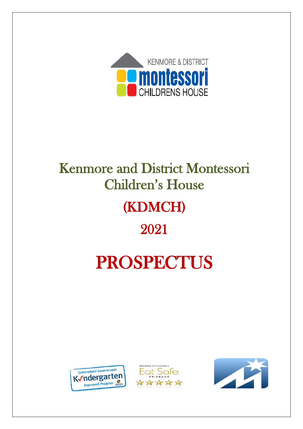

# Kenmore and District Montessori Children's House (KDMCH) 2021 PROSPECTUS





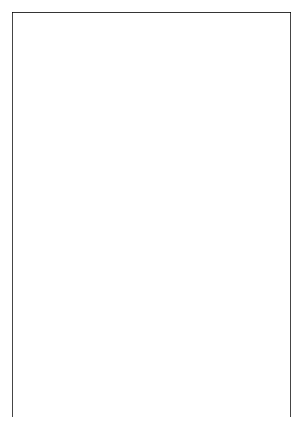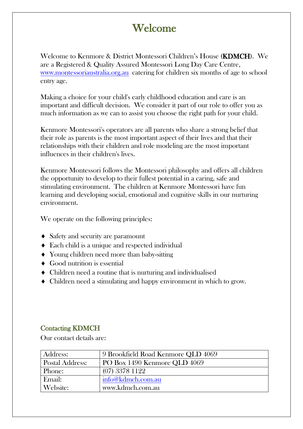# Welcome

Welcome to Kenmore & District Montessori Children's House (KDMCH). We are a Registered & Quality Assured Montessori Long Day Care Centre, [www.montessoriaustralia.org.au](http://www.montessoriaustralia.org.au/) catering for children six months of age to school entry age.

Making a choice for your child's early childhood education and care is an important and difficult decision. We consider it part of our role to offer you as much information as we can to assist you choose the right path for your child.

Kenmore Montessori's operators are all parents who share a strong belief that their role as parents is the most important aspect of their lives and that their relationships with their children and role modeling are the most important influences in their children's lives.

Kenmore Montessori follows the Montessori philosophy and offers all children the opportunity to develop to their fullest potential in a caring, safe and stimulating environment. The children at Kenmore Montessori have fun learning and developing social, emotional and cognitive skills in our nurturing environment.

We operate on the following principles:

- Safety and security are paramount
- Each child is a unique and respected individual
- Young children need more than baby-sitting
- ◆ Good nutrition is essential
- Children need a routine that is nurturing and individualised
- Children need a stimulating and happy environment in which to grow.

#### Contacting KDMCH

Our contact details are:

| Address:               | 9 Brookfield Road Kenmore QLD 4069 |  |
|------------------------|------------------------------------|--|
| <b>Postal Address:</b> | PO Box 1490 Kenmore QLD 4069       |  |
| Phone:                 | $(07)$ 3378 1122                   |  |
| Email:                 | info@kdmch.com.au                  |  |
| Website:               | www.kdmch.com.au                   |  |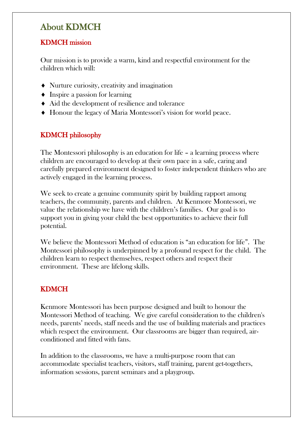# About KDMCH

#### KDMCH mission

Our mission is to provide a warm, kind and respectful environment for the children which will:

- Nurture curiosity, creativity and imagination
- $\blacklozenge$  Inspire a passion for learning
- Aid the development of resilience and tolerance
- Honour the legacy of Maria Montessori's vision for world peace.

#### KDMCH philosophy

The Montessori philosophy is an education for life – a learning process where children are encouraged to develop at their own pace in a safe, caring and carefully prepared environment designed to foster independent thinkers who are actively engaged in the learning process.

We seek to create a genuine community spirit by building rapport among teachers, the community, parents and children. At Kenmore Montessori, we value the relationship we have with the children's families. Our goal is to support you in giving your child the best opportunities to achieve their full potential.

We believe the Montessori Method of education is "an education for life". The Montessori philosophy is underpinned by a profound respect for the child. The children learn to respect themselves, respect others and respect their environment. These are lifelong skills.

#### **KDMCH**

Kenmore Montessori has been purpose designed and built to honour the Montessori Method of teaching. We give careful consideration to the children's needs, parents' needs, staff needs and the use of building materials and practices which respect the environment. Our classrooms are bigger than required, airconditioned and fitted with fans.

In addition to the classrooms, we have a multi-purpose room that can accommodate specialist teachers, visitors, staff training, parent get-togethers, information sessions, parent seminars and a playgroup.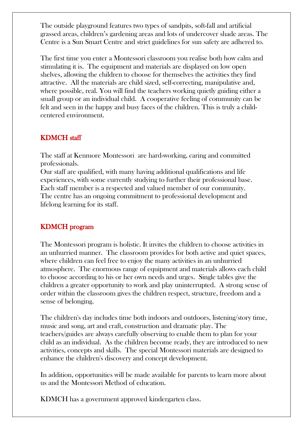The outside playground features two types of sandpits, soft-fall and artificial grassed areas, children's gardening areas and lots of undercover shade areas. The Centre is a Sun Smart Centre and strict guidelines for sun safety are adhered to.

The first time you enter a Montessori classroom you realise both how calm and stimulating it is. The equipment and materials are displayed on low open shelves, allowing the children to choose for themselves the activities they find attractive. All the materials are child sized, self-correcting, manipulative and, where possible, real. You will find the teachers working quietly guiding either a small group or an individual child. A cooperative feeling of community can be felt and seen in the happy and busy faces of the children. This is truly a childcentered environment.

#### KDMCH staff

The staff at Kenmore Montessori are hard-working, caring and committed professionals.

Our staff are qualified, with many having additional qualifications and life experiences, with some currently studying to further their professional base. Each staff member is a respected and valued member of our community. The centre has an ongoing commitment to professional development and lifelong learning for its staff.

#### KDMCH program

The Montessori program is holistic. It invites the children to choose activities in an unhurried manner. The classroom provides for both active and quiet spaces, where children can feel free to enjoy the many activities in an unhurried atmosphere. The enormous range of equipment and materials allows each child to choose according to his or her own needs and urges. Single tables give the children a greater opportunity to work and play uninterrupted. A strong sense of order within the classroom gives the children respect, structure, freedom and a sense of belonging.

The children's day includes time both indoors and outdoors, listening/story time, music and song, art and craft, construction and dramatic play. The teachers/guides are always carefully observing to enable them to plan for your child as an individual. As the children become ready, they are introduced to new activities, concepts and skills. The special Montessori materials are designed to enhance the children's discovery and concept development.

In addition, opportunities will be made available for parents to learn more about us and the Montessori Method of education.

KDMCH has a government approved kindergarten class.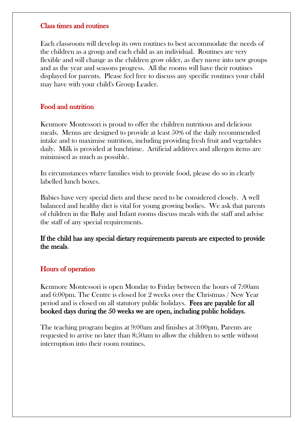#### Class times and routines

Each classroom will develop its own routines to best accommodate the needs of the children as a group and each child as an individual. Routines are very flexible and will change as the children grow older, as they move into new groups and as the year and seasons progress. All the rooms will have their routines displayed for parents. Please feel free to discuss any specific routines your child may have with your child's Group Leader.

#### Food and nutrition

Kenmore Montessori is proud to offer the children nutritious and delicious meals. Menus are designed to provide at least 50% of the daily recommended intake and to maximise nutrition, including providing fresh fruit and vegetables daily. Milk is provided at lunchtime. Artificial additives and allergen items are minimised as much as possible.

In circumstances where families wish to provide food, please do so in clearly labelled lunch boxes.

Babies have very special diets and these need to be considered closely. A well balanced and healthy diet is vital for young growing bodies. We ask that parents of children in the Baby and Infant rooms discuss meals with the staff and advise the staff of any special requirements.

#### If the child has any special dietary requirements parents are expected to provide the meals.

#### Hours of operation

Kenmore Montessori is open Monday to Friday between the hours of 7:00am and 6:00pm. The Centre is closed for 2 weeks over the Christmas / New Year period and is closed on all statutory public holidays. Fees are payable for all booked days during the 50 weeks we are open, including public holidays.

The teaching program begins at 9:00am and finishes at 3:00pm. Parents are requested to arrive no later than 8:50am to allow the children to settle without interruption into their room routines.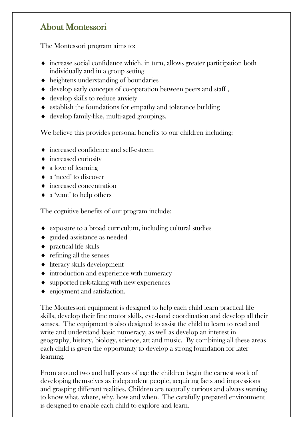# About Montessori

The Montessori program aims to:

- increase social confidence which, in turn, allows greater participation both individually and in a group setting
- heightens understanding of boundaries
- develop early concepts of co-operation between peers and staff ,
- develop skills to reduce anxiety
- $\bullet$  establish the foundations for empathy and tolerance building
- develop family-like, multi-aged groupings.

We believe this provides personal benefits to our children including:

- increased confidence and self-esteem
- $\triangleleft$  increased curiosity
- a love of learning
- a 'need' to discover
- ◆ increased concentration
- ◆ a 'want' to help others

The cognitive benefits of our program include:

- $\bullet$  exposure to a broad curriculum, including cultural studies
- guided assistance as needed
- practical life skills
- refining all the senses
- $\bullet$  literacy skills development
- $\blacklozenge$  introduction and experience with numeracy
- $\bullet$  supported risk-taking with new experiences
- enjoyment and satisfaction.

The Montessori equipment is designed to help each child learn practical life skills, develop their fine motor skills, eye-hand coordination and develop all their senses. The equipment is also designed to assist the child to learn to read and write and understand basic numeracy, as well as develop an interest in geography, history, biology, science, art and music. By combining all these areas each child is given the opportunity to develop a strong foundation for later learning.

From around two and half years of age the children begin the earnest work of developing themselves as independent people, acquiring facts and impressions and grasping different realities. Children are naturally curious and always wanting to know what, where, why, how and when. The carefully prepared environment is designed to enable each child to explore and learn.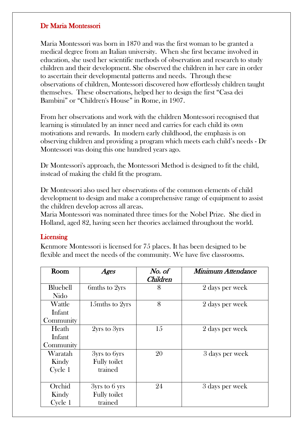#### Dr Maria Montessori

Maria Montessori was born in 1870 and was the first woman to be granted a medical degree from an Italian university. When she first became involved in education, she used her scientific methods of observation and research to study children and their development. She observed the children in her care in order to ascertain their developmental patterns and needs. Through these observations of children, Montessori discovered how effortlessly children taught themselves. These observations, helped her to design the first "Casa dei Bambini" or "Children's House" in Rome, in 1907.

From her observations and work with the children Montessori recognised that learning is stimulated by an inner need and carries for each child its own motivations and rewards. In modern early childhood, the emphasis is on observing children and providing a program which meets each child's needs - Dr Montessori was doing this one hundred years ago.

Dr Montessori's approach, the Montessori Method is designed to fit the child, instead of making the child fit the program.

Dr Montessori also used her observations of the common elements of child development to design and make a comprehensive range of equipment to assist the children develop across all areas.

Maria Montessori was nominated three times for the Nobel Prize. She died in Holland, aged 82, having seen her theories acclaimed throughout the world.

#### **Licensing**

Kenmore Montessori is licensed for 75 places. It has been designed to be flexible and meet the needs of the community. We have five classrooms.

| Room      | Ages                | No. of          | Minimum Attendance |
|-----------|---------------------|-----------------|--------------------|
|           |                     | <b>Children</b> |                    |
| Bluebell  | 6mths to 2yrs       | 8               | 2 days per week    |
| Nido      |                     |                 |                    |
| Wattle    | 15 mths to 2yrs     | 8               | 2 days per week    |
| Infant    |                     |                 |                    |
| Community |                     |                 |                    |
| Heath     | 2yrs to 3yrs        | 15              | 2 days per week    |
| Infant    |                     |                 |                    |
| Community |                     |                 |                    |
| Waratah   | 3yrs to 6yrs        | 20              | 3 days per week    |
| Kindy     | <b>Fully toilet</b> |                 |                    |
| Cycle 1   | trained             |                 |                    |
|           |                     |                 |                    |
| Orchid    | $3yrs$ to 6 yrs     | 24              | 3 days per week    |
| Kindy     | Fully toilet        |                 |                    |
| Cycle 1   | trained             |                 |                    |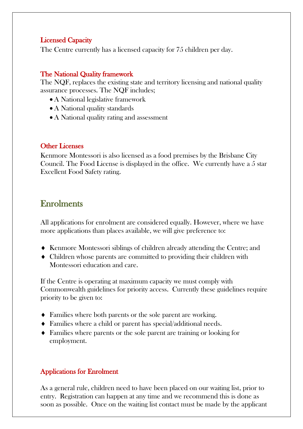#### Licensed Capacity

The Centre currently has a licensed capacity for 75 children per day.

#### The National Quality framework

The NQF, replaces the existing state and territory licensing and national quality assurance processes. The NQF includes;

- A National legislative framework
- A National quality standards
- A National quality rating and assessment

#### Other Licenses

Kenmore Montessori is also licensed as a food premises by the Brisbane City Council. The Food License is displayed in the office. We currently have a 5 star Excellent Food Safety rating.

# **Enrolments**

All applications for enrolment are considered equally. However, where we have more applications than places available, we will give preference to:

- Kenmore Montessori siblings of children already attending the Centre; and
- Children whose parents are committed to providing their children with Montessori education and care.

If the Centre is operating at maximum capacity we must comply with Commonwealth guidelines for priority access. Currently these guidelines require priority to be given to:

- Families where both parents or the sole parent are working.
- Families where a child or parent has special/additional needs.
- Families where parents or the sole parent are training or looking for employment.

#### Applications for Enrolment

As a general rule, children need to have been placed on our waiting list, prior to entry. Registration can happen at any time and we recommend this is done as soon as possible. Once on the waiting list contact must be made by the applicant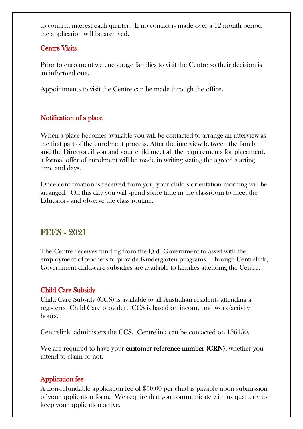to confirm interest each quarter. If no contact is made over a 12 month period the application will be archived.

#### Centre Visits

Prior to enrolment we encourage families to visit the Centre so their decision is an informed one.

Appointments to visit the Centre can be made through the office.

#### Notification of a place

When a place becomes available you will be contacted to arrange an interview as the first part of the enrolment process. After the interview between the family and the Director, if you and your child meet all the requirements for placement, a formal offer of enrolment will be made in writing stating the agreed starting time and days.

Once confirmation is received from you, your child's orientation morning will be arranged. On this day you will spend some time in the classroom to meet the Educators and observe the class routine.

### FEES - 2021

The Centre receives funding from the Qld. Government to assist with the employment of teachers to provide Kindergarten programs. Through Centrelink, Government child-care subsidies are available to families attending the Centre.

#### Child Care Subsidy

Child Care Subsidy (CCS) is available to all Australian residents attending a registered Child Care provider. CCS is based on income and work/activity hours.

Centrelink administers the CCS. Centrelink can be contacted on 136150.

We are required to have your customer reference number (CRN), whether you intend to claim or not.

#### Application fee

A non-refundable application fee of \$50.00 per child is payable upon submission of your application form. We require that you communicate with us quarterly to keep your application active.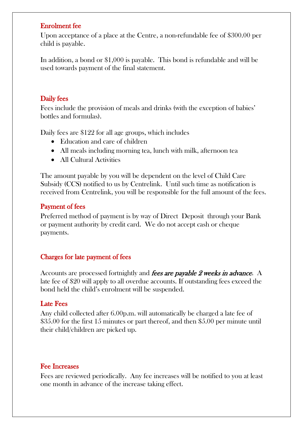#### Enrolment fee

Upon acceptance of a place at the Centre, a non-refundable fee of \$300.00 per child is payable.

In addition, a bond or \$1,000 is payable. This bond is refundable and will be used towards payment of the final statement.

#### Daily fees

Fees include the provision of meals and drinks (with the exception of babies' bottles and formulas).

Daily fees are \$122 for all age groups, which includes

- Education and care of children
- All meals including morning tea, lunch with milk, afternoon tea
- All Cultural Activities

The amount payable by you will be dependent on the level of Child Care Subsidy (CCS) notified to us by Centrelink. Until such time as notification is received from Centrelink, you will be responsible for the full amount of the fees.

#### Payment of fees

Preferred method of payment is by way of Direct Deposit through your Bank or payment authority by credit card. We do not accept cash or cheque payments.

#### Charges for late payment of fees

Accounts are processed fortnightly and *fees are payable 2 weeks in advance*. A late fee of \$20 will apply to all overdue accounts. If outstanding fees exceed the bond held the child's enrolment will be suspended.

#### Late Fees

Any child collected after 6.00p.m. will automatically be charged a late fee of \$35.00 for the first 15 minutes or part thereof, and then \$5.00 per minute until their child/children are picked up.

#### Fee Increases

Fees are reviewed periodically. Any fee increases will be notified to you at least one month in advance of the increase taking effect.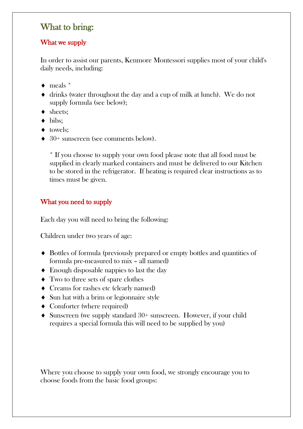# What to bring:

#### What we supply

In order to assist our parents, Kenmore Montessori supplies most of your child's daily needs, including:

- meals \*
- $\bullet$  drinks (water throughout the day and a cup of milk at lunch). We do not supply formula (see below);
- sheets:
- $\bullet$  bibs:
- ◆ towels:
- ◆ 30+ sunscreen (see comments below).

\* If you choose to supply your own food please note that all food must be supplied in clearly marked containers and must be delivered to our Kitchen to be stored in the refrigerator. If heating is required clear instructions as to times must be given.

#### What you need to supply

Each day you will need to bring the following:

Children under two years of age:

- Bottles of formula (previously prepared or empty bottles and quantities of formula pre-measured to mix – all named)
- Enough disposable nappies to last the day
- $\blacklozenge$  Two to three sets of spare clothes
- ◆ Creams for rashes etc (clearly named)
- Sun hat with a brim or legionnaire style
- Comforter (where required)
- Sunscreen (we supply standard 30+ sunscreen. However, if your child requires a special formula this will need to be supplied by you)

Where you choose to supply your own food, we strongly encourage you to choose foods from the basic food groups: